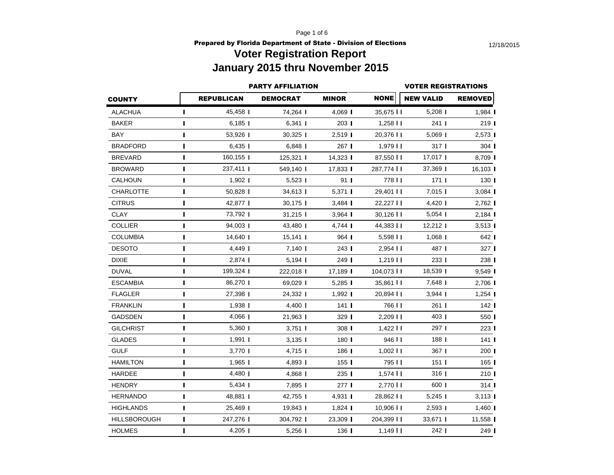Page 1 of 6

**Prepared by Florida Department of State - Division of Elections** 12/18/2015

# **Voter Registration Report January 2015 thru November 2015**

|                     |                | <b>PARTY AFFILIATION</b> |                 | <b>VOTER REGISTRATIONS</b> |                        |                  |                      |  |  |
|---------------------|----------------|--------------------------|-----------------|----------------------------|------------------------|------------------|----------------------|--|--|
| <b>COUNTY</b>       |                | <b>REPUBLICAN</b>        | <b>DEMOCRAT</b> | <b>MINOR</b>               | <b>NONE</b>            | <b>NEW VALID</b> | <b>REMOVED</b>       |  |  |
| ALACHUA             | T              | 45,458                   | 74,264 I        | $4,069$                    | $35,675$ II            | $5,208$          | 1,984                |  |  |
| <b>BAKER</b>        | п              | $6,185$                  | $6,341$         | 203                        | $1,258$ $\blacksquare$ | $241$            | 219                  |  |  |
| BAY                 | $\blacksquare$ | 53,926                   | $30,325$        | 2,519                      | 20,376                 | $5,069$          | 2,573                |  |  |
| <b>BRADFORD</b>     | Т              | $6,435$                  | $6,848$         | 267 I                      | $1,979$ $11$           | 317 <sub>1</sub> | $304$                |  |  |
| <b>BREVARD</b>      | п              | 160,155                  | $125,321$       | 14,323 l                   | 87,550                 | $17,017$         | 8,709                |  |  |
| <b>BROWARD</b>      | П              | 237,411                  | 549,140         | 17,833                     | 287,774 I I            | 37,369           | 16,103 l             |  |  |
| CALHOUN             | $\mathbf{I}$   | $1,902$                  | $5,523$         | 91 <sub>1</sub>            | 778                    | 171 <sub>1</sub> | 130 <sub>1</sub>     |  |  |
| <b>CHARLOTTE</b>    | I              | $50,828$                 | 34,613          | $5,371$                    | $29,401$ II            | $7,015$          | 3,084                |  |  |
| <b>CITRUS</b>       | п              | 42,877                   | $30,175$        | $3,484$                    | 22,227                 | 4,420            | $2,762$              |  |  |
| <b>CLAY</b>         | п              | 73,792                   | $31,215$        | $3,964$                    | $30,126$               | $5,054$          | 2,184                |  |  |
| <b>COLLIER</b>      | п              | 94.003                   | 43,480          | 4,744                      | 44,383                 | $12,212$         | $3,513$              |  |  |
| <b>COLUMBIA</b>     | Т              | 14,640                   | $15,141$        | 964 I                      | $5,598$ $\blacksquare$ | $1,068$          | 642 I                |  |  |
| <b>DESOTO</b>       | п              | 4,449                    | 7,140 l         | 243 I                      | $2,954$ II             | 487 I            | 327 I                |  |  |
| <b>DIXIE</b>        | Т              | $2,874$                  | 5,194 l         | 249 I                      | $1,219$ $\blacksquare$ | 233              | 238 l                |  |  |
| <b>DUVAL</b>        | $\blacksquare$ | 199,324                  | 222,018         | $17,189$                   | 104,073                | 18,539           | $9,549$              |  |  |
| <b>ESCAMBIA</b>     | П              | 86,270                   | 69,029          | $5,285$                    | 35,861 II              | 7,648            | 2,706                |  |  |
| <b>FLAGLER</b>      | т              | 27,398                   | 24,332          | $1,992$                    | $20,894$ II            | $3,944$          | 1,254                |  |  |
| <b>FRANKLIN</b>     | п              | $1,938$                  | $4,400$         | 141 <sub>l</sub>           | 766 I I                | $261$ I          | 142 <sub>1</sub>     |  |  |
| <b>GADSDEN</b>      | п              | 4,066                    | 21,963          | $329$ $\blacksquare$       | 2,209                  | 403              | 550 l                |  |  |
| <b>GILCHRIST</b>    | п              | 5,360                    | $3,751$         | 308 l                      | $1,422$                | 297 I            | 223 l                |  |  |
| <b>GLADES</b>       | П              | $1,991$                  | $3,135$         | $180$ $\blacksquare$       | 946                    | 188              | $141$ I              |  |  |
| <b>GULF</b>         | $\blacksquare$ | 3,770                    | 4,715           | 186 I                      | $1,002$ II             | $367$            | 200 l                |  |  |
| HAMILTON            | L              | $1,965$                  | 4,893 I         | 155 <sub>1</sub>           | 795 I I                | 151 <sub>1</sub> | $165$ I              |  |  |
| <b>HARDEE</b>       | п              | 4,480                    | 4,868 I         | 2351                       | $1,574$                | 316              | 210 <sub>1</sub>     |  |  |
| <b>HENDRY</b>       | ı              | $5,434$                  | 7,895           | 2771                       | 2,770                  | 600              | $314$ $\blacksquare$ |  |  |
| <b>HERNANDO</b>     | п              | 48,881                   | 42,755          | 4,931                      | 28,862                 | $5,245$          | 3,113                |  |  |
| <b>HIGHLANDS</b>    | $\blacksquare$ | 25,469                   | $19,843$        | $1,824$                    | $10,906$ II            | $2,593$          | 1,460                |  |  |
| <b>HILLSBOROUGH</b> | ı              | 247,276                  | 304,792         | 23,309                     | 204,399                | 33,671           | 11,558               |  |  |
| <b>HOLMES</b>       | $\blacksquare$ | $4,205$                  | 5,256           | 136 I                      | $1,149$ $\blacksquare$ | $242$            | 249                  |  |  |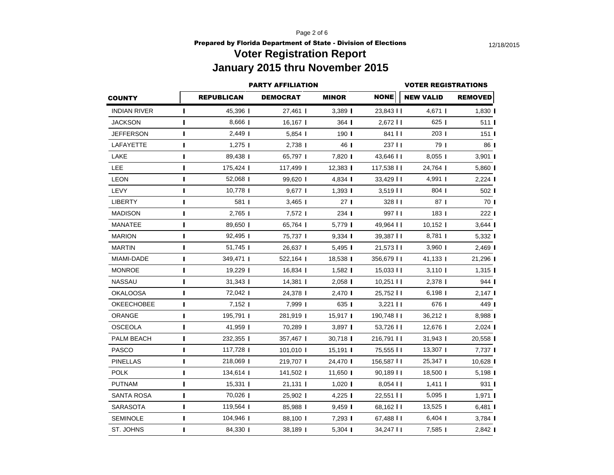Page 2 of 6

### **Prepared by Florida Department of State - Division of Elections** 12/18/2015 **Voter Registration Report January 2015 thru November 2015**

|                     |                          |                   | <b>PARTY AFFILIATION</b> |                      | <b>VOTER REGISTRATIONS</b> |                  |                  |  |  |  |
|---------------------|--------------------------|-------------------|--------------------------|----------------------|----------------------------|------------------|------------------|--|--|--|
| <b>COUNTY</b>       |                          | <b>REPUBLICAN</b> | <b>DEMOCRAT</b>          | <b>MINOR</b>         | <b>NONE</b>                | <b>NEW VALID</b> | <b>REMOVED</b>   |  |  |  |
| <b>INDIAN RIVER</b> | $\mathbf{I}$             | 45,396            | 27,461                   | 3,389                | 23,843                     | 4,671            | $1,830$          |  |  |  |
| <b>JACKSON</b>      | п                        | 8,666             | 16,167                   | $364$                | 2,672                      | $625$            | 511              |  |  |  |
| JEFFERSON           | п                        | $2,449$           | $5,854$                  | 190 <sub>l</sub>     | 841 I I                    | 203 I            | 151 <sup>1</sup> |  |  |  |
| LAFAYETTE           | Т                        | $1,275$           | $2.738$                  | 46 I                 | 237 I I                    | 79               | 86 I             |  |  |  |
| LAKE                | H                        | 89,438            | 65,797                   | 7,820 l              | 43,646 11                  | $8,055$          | 3,901            |  |  |  |
| LEE                 | ı                        | 175,424           | 117,499                  | 12,383               | 117,538 $\blacksquare$     | 24,764           | $5,860$          |  |  |  |
| <b>LEON</b>         | п                        | 52,068            | 99,620                   | 4,834                | 33,429                     | 4,991            | $2,224$          |  |  |  |
| LEVY                | ı                        | 10,778            | $9,677$                  | $1,393$              | $3,519$ $\blacksquare$     | 804              | 502 l            |  |  |  |
| <b>LIBERTY</b>      |                          | 581               | $3,465$                  | 27 <sub>1</sub>      | 328 11                     | 87 <sub>1</sub>  | 70 I             |  |  |  |
| <b>MADISON</b>      | $\mathbf{I}$             | 2,765             | 7,572                    | $234$ $\blacksquare$ | 997 I I                    | 183 <sub>1</sub> | 222 l            |  |  |  |
| <b>MANATEE</b>      | $\mathbf I$              | 89,650            | 65,764 I                 | 5,779                | 49,964 11                  | 10,152           | 3,644            |  |  |  |
| <b>MARION</b>       | ı                        | 92,495            | 75,737 I                 | $9,334$              | 39,387 II                  | 8,781            | 5,332 l          |  |  |  |
| <b>MARTIN</b>       | п                        | 51,745            | 26,637                   | 5,495                | 21,573                     | $3,960$          | 2,469            |  |  |  |
| MIAMI-DADE          |                          | 349,471           | 522,164                  | 18,538               | 356,679                    | 41,133           | 21,296           |  |  |  |
| <b>MONROE</b>       | п                        | 19,229            | 16,834                   | $1,582$              | 15,033                     | $3,110$          | $1,315$          |  |  |  |
| <b>NASSAU</b>       | п                        | $31,343$          | $14,381$                 | $2,058$              | $10,251$                   | 2,378            | 944 I            |  |  |  |
| <b>OKALOOSA</b>     | $\overline{\phantom{a}}$ | 72,042            | 24,378                   | 2,470                | 25,752                     | 6,198            | 2,147            |  |  |  |
| OKEECHOBEE          | I                        | $7,152$           | 7,999                    | 635 I                | $3,221$ $\blacksquare$     | 676              | 449              |  |  |  |
| ORANGE              | ı                        | 195,791           | 281,919                  | 15,917 I             | 190,748 II                 | 36,212           | 8,988            |  |  |  |
| <b>OSCEOLA</b>      | I                        | 41,959            | 70,289 I                 | $3,897$              | 53,726 11                  | 12,676           | 2,024            |  |  |  |
| PALM BEACH          | п                        | 232,355           | 357,467                  | 30,718               | 216,791                    | $31,943$         | 20,558           |  |  |  |
| <b>PASCO</b>        | п                        | 117,728           | 101,010                  | $15,191$             | 75,555 I I                 | 13,307           | 7,737            |  |  |  |
| <b>PINELLAS</b>     | ı                        | 218,069           | 219,707                  | 24,470               | 156,587                    | 25,347           | 10,628           |  |  |  |
| <b>POLK</b>         |                          | 134,614           | 141,502                  | $11,650$             | 90,189                     | 18,500           | 5,198            |  |  |  |
| <b>PUTNAM</b>       | $\mathbf{I}$             | 15,331            | 21,131                   | $1,020$              | $8,054$                    | $1,411$          | 931 <b>I</b>     |  |  |  |
| <b>SANTA ROSA</b>   | I                        | 70,026            | 25,902 l                 | $4,225$              | 22,551 II                  | $5,095$          | $1,971$          |  |  |  |
| <b>SARASOTA</b>     |                          | 119,564           | 85,988                   | $9,459$              | 68,162                     | $13,525$         | $6,481$          |  |  |  |
| SEMINOLE            |                          | 104,946           | 88,100                   | 7,293 l              | 67,488 II                  | $6,404$          | $3,784$          |  |  |  |
| ST. JOHNS           | п                        | 84,330            | 38,189                   | $5,304$              | 34,247                     | 7,585            | 2,842            |  |  |  |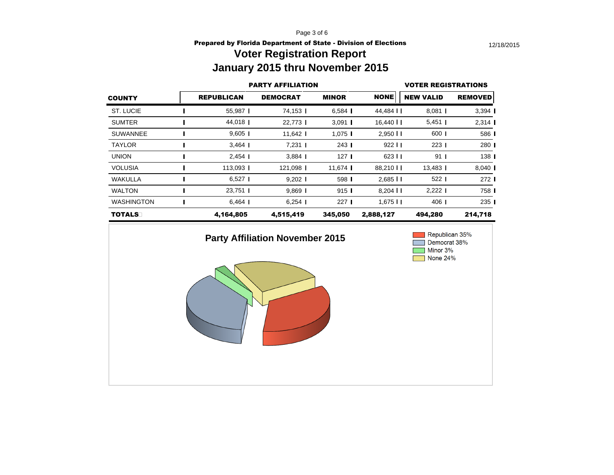Page 3 of 6

### **Prepared by Florida Department of State - Division of Elections** 12/18/2015 **Voter Registration Report**

# **January 2015 thru November 2015**

|                   | <b>PARTY AFFILIATION</b> | <b>VOTER REGISTRATIONS</b> |                      |                        |                  |                  |
|-------------------|--------------------------|----------------------------|----------------------|------------------------|------------------|------------------|
| <b>COUNTY</b>     | <b>REPUBLICAN</b>        | <b>DEMOCRAT</b>            | <b>MINOR</b>         | <b>NONE</b>            | <b>NEW VALID</b> | <b>REMOVED</b>   |
| ST. LUCIE         | 55,987                   | 74,153                     | $6,584$              | 44,484                 | $8,081$          | 3,394            |
| <b>SUMTER</b>     | 44,018                   | 22,773                     | $3,091$              | 16,440 $\blacksquare$  | $5,451$          | $2,314$          |
| <b>SUWANNEE</b>   | $9,605$ I                | 11,642 $\blacksquare$      | $1,075$ I            | $2,950$ II             | 600              | 586 l            |
| <b>TAYLOR</b>     | $3,464$                  | $7,231$                    | $243$ $\blacksquare$ | 922 11                 | 2231             | 280 l            |
| <b>UNION</b>      | 2,454                    | $3,884$                    | 127 <sub>l</sub>     | 623 11                 | 91 <sub>1</sub>  | 138 <sup>1</sup> |
| <b>VOLUSIA</b>    | 113,093                  | 121,098                    | $11,674$             | 88,210                 | $13,483$         | $8,040$          |
| WAKULLA           | $6,527$ I                | $9,202$                    | 598 I                | $2,685$ II             | $522$            | 272 l            |
| <b>WALTON</b>     | 23,751                   | $9,869$                    | 9151                 | $8,204$                | $2,222$ 1        | 758 I            |
| <b>WASHINGTON</b> | $6,464$                  | $6,254$ I                  | 227 <sub>1</sub>     | $1,675$ $\blacksquare$ | 406              | 235 I            |
| <b>TOTALS</b>     | 4,164,805                | 4,515,419                  | 345,050              | 2,888,127              | 494,280          | 214,718          |

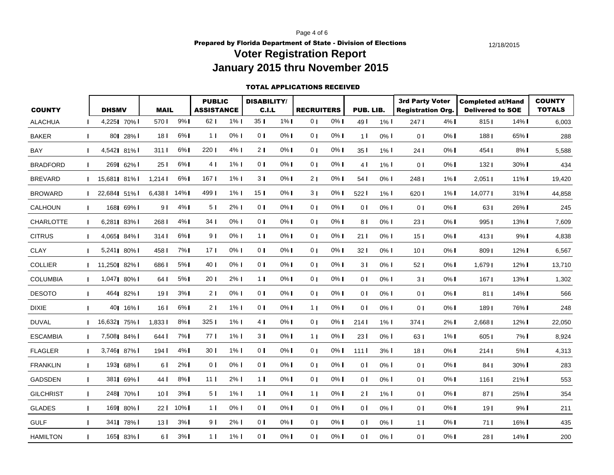Page 4 of 6

**Prepared by Florida Department of State - Division of Elections** 12/18/2015 **Voter Registration Report** 

# **January 2015 thru November 2015**

#### TOTAL APPLICATIONS RECEIVED

| <b>COUNTY</b>    |                | <b>DHSMV</b> |            | <b>MAIL</b>      |          | <b>PUBLIC</b><br><b>ASSISTANCE</b> |         | <b>DISABILITY/</b><br>C.I.L |         | <b>RECRUITERS</b> |       | PUB. LIB.       |         | <b>3rd Party Voter</b><br><b>Registration Org.</b> |         | <b>Completed at/Hand</b><br><b>Delivered to SOE</b> |                       | <b>COUNTY</b><br><b>TOTALS</b> |
|------------------|----------------|--------------|------------|------------------|----------|------------------------------------|---------|-----------------------------|---------|-------------------|-------|-----------------|---------|----------------------------------------------------|---------|-----------------------------------------------------|-----------------------|--------------------------------|
| <b>ALACHUA</b>   | п              | 4,225 70%    |            | 570 I            | 9%       | 62 <sub>1</sub>                    | $1\%$   | 35 <sub>1</sub>             | $1\%$   | 0 <sub>1</sub>    | 0%    | 49 <sup>1</sup> | $1\%$ I | 247 I                                              | 4% I    | 8151                                                | $14\%$ $\blacksquare$ | 6,003                          |
|                  |                |              |            |                  |          |                                    |         |                             |         |                   |       |                 |         |                                                    |         |                                                     |                       |                                |
| <b>BAKER</b>     | $\mathbf{I}$   |              | 80  28%    | 18 <sup>1</sup>  | $6\%$    | 1 <sub>1</sub>                     | $0\%$   | 0 <sub>l</sub>              | $0\%$   | 0 <sub>1</sub>    | $0\%$ | 1 <sup>1</sup>  | $0\%$ I | 0 <sub>1</sub>                                     | $0\%$   | 188 <sup>1</sup>                                    | 65% I                 | 288                            |
| <b>BAY</b>       | $\mathbf{I}$   | 4,542  81%   |            | 311 I            | $6\%$    | 220                                | $4\%$   | 21                          | 0% l    | 0 <sub>1</sub>    | $0\%$ | 351             | $1\%$   | 24 <sub>1</sub>                                    | $0\%$   | 454                                                 | $8\%$                 | 5,588                          |
| <b>BRADFORD</b>  | $\mathbf{I}$   |              | 269 62% l  | 25 I             | 6%1      | 4 <sub>1</sub>                     | $1\%$   | 0 <sub>1</sub>              | $0\%$   | 0 <sub>1</sub>    | $0\%$ | 4 <sub>l</sub>  | $1\%$   | $\overline{0}$ $\overline{1}$                      | 0% I    | 132 <sub>1</sub>                                    | 30% l                 | 434                            |
| <b>BREVARD</b>   | $\mathbf{I}$   | 15,681 81%   |            | 1,214            | $6\%$    | 167 <sub>l</sub>                   | $1\%$   | 3 <sub>1</sub>              | $0\%$   | 2 <sub>1</sub>    | $0\%$ | 54 <sub>1</sub> | 0% l    | 248                                                | $1\%$   | $2,051$                                             | $11\%$                | 19,420                         |
| <b>BROWARD</b>   | $\mathbf{I}$   | 22,684 51%   |            | $6,438$ I        | $14\%$   | 4991                               | $1\%$   | 15 <sub>1</sub>             | $0\%$   | 3 <sub>1</sub>    | $0\%$ | 522 l           | $1\%$   | 620                                                | $1\%$   | 14,077 L                                            | 31% I                 | 44,858                         |
| CALHOUN          | $\mathbf{I}$   |              | 168  69%   | 9 I              | $4\%$    | 5 <sub>1</sub>                     | $2\%$   | 0 <sub>1</sub>              | 0%      | 0 <sub>1</sub>    | $0\%$ | 0 <sup>1</sup>  | $0\%$   | 0 <sup>1</sup>                                     | $0\%$   | 631                                                 | 26% l                 | 245                            |
| <b>CHARLOTTE</b> | $\mathbf{I}$   | 6,281 83% l  |            | 268 I            | $4\%$    | 34 <sub>1</sub>                    | $0\%$   | 0 <sup>1</sup>              | $0\%$   | 0 <sub>1</sub>    | $0\%$ | 81              | $0\%$   | 231                                                | $0\%$ I | 9951                                                | $13\%$                | 7,609                          |
| <b>CITRUS</b>    | $\mathbf{I}$   | 4,065 84%    |            | 314 I            | $6\%$    | 9 I                                | $0\%$   | 1 <sub>1</sub>              | $0\%$   | 0 <sub>1</sub>    | $0\%$ | 211             | $0\%$   | 15 <sub>1</sub>                                    | $0\%$ I | 4131                                                | $9%$ I                | 4,838                          |
| <b>CLAY</b>      | $\mathbf{I}$   | 5,241  80%   |            | 458 I            | $7\%$    | 17 <sub>l</sub>                    | $0\%$   | 0 <sub>l</sub>              | $0\%$   | 0 <sub>1</sub>    | 0%    | 321             | $0\%$ I | 10 <sup>1</sup>                                    | $0\%$   | 8091                                                | $12\%$                | 6,567                          |
| <b>COLLIER</b>   | $\mathbf{I}$   | 11,250  82%  |            | 686 I            | 5%       | 40 <sub>l</sub>                    | $0\%$   | 0 <sub>1</sub>              | $0\%$   | 0 <sub>1</sub>    | $0\%$ | 3 <sup>1</sup>  | $0\%$   | 521                                                | $0\%$   | 1,679                                               | $12\%$                | 13,710                         |
| <b>COLUMBIA</b>  | $\mathbf{I}$   | 1,0471 80% 1 |            | 64 <sup>1</sup>  | 5%       | 20 <sub>1</sub>                    | $2\%$   | 11                          | $0\%$   | 0 <sub>1</sub>    | $0\%$ | 0 <sup>1</sup>  | $0\%$ I | 31                                                 | $0\%$   | 1671                                                | 13% l                 | 1,302                          |
| <b>DESOTO</b>    | $\blacksquare$ |              | 464 82%    | 19 <sup>1</sup>  | 3%       | 21                                 | 0%      | 0 <sub>l</sub>              | $0\%$   | 0 <sub>1</sub>    | $0\%$ | 0 <sup>1</sup>  | 0% l    | 0 <sup>1</sup>                                     | $0\%$ I | 811                                                 | $14\%$                | 566                            |
| <b>DIXIE</b>     | $\mathbf{I}$   |              | 401 16% I  | 16 <sup>1</sup>  | $6\%$    | 21                                 | $1\%$   | 0 <sub>l</sub>              | 0% I    | 1 <sub>1</sub>    | 0% I  | 0 <sup>1</sup>  | $0\%$ I | 0 <sup>1</sup>                                     | $0\%$   | 1891                                                | 76% I                 | 248                            |
| <b>DUVAL</b>     | $\mathbf{L}$   | 16,632  75%  |            | 1.8331           | $8\%$    | 3251                               | $1\%$   | 4 I                         | $0\%$   | 0 <sub>1</sub>    | $0\%$ | 214             | $1\%$   | 374 <sub>1</sub>                                   | 2%1     | 2.668                                               | $12\%$                | 22,050                         |
| <b>ESCAMBIA</b>  | $\mathbf{I}$   | 7,508  84%   |            | 644 I            | 7%1      | 771                                | $1\%$   | 3 <sub>1</sub>              | 0% l    | 1 <sub>1</sub>    | 0% I  | 231             | 0% l    | 63 I                                               | $1\%$   | 6051                                                | 7%1                   | 8,924                          |
| <b>FLAGLER</b>   | $\mathbf{I}$   | 3,746 87% L  |            | 194 <sub>l</sub> | $4\%$    | 30 <sub>1</sub>                    | $1\%$   | 0 <sub>1</sub>              | 0% l    | 0 <sub>1</sub>    | $0\%$ | 1111            | 3%      | 18 <sup>1</sup>                                    | $0\%$   | 2141                                                | 5% l                  | 4,313                          |
| <b>FRANKLIN</b>  | $\mathbf{I}$   |              | 1931 68% I | 6 I              | 2%1      | 0 <sub>1</sub>                     | $0\%$   | 0 <sub>1</sub>              | $0\%$   | 0 <sub>1</sub>    | $0\%$ | 0 <sup>1</sup>  | $0\%$ I | 0 <sup>1</sup>                                     | $0\%$   | 84 <sub>1</sub>                                     | $30\%$ I              | 283                            |
| <b>GADSDEN</b>   | $\mathbf{L}$   |              | 381  69%   | 44 I             | 8%1      | 11 <sub>1</sub>                    | $2\%$ 1 | 1 <sub>1</sub>              | $0\%$   | 0 <sub>1</sub>    | $0\%$ | 0 <sup>1</sup>  | $0\%$ I | 0 <sub>1</sub>                                     | $0\%$   | 1161                                                | $21\%$                | 553                            |
| <b>GILCHRIST</b> | $\blacksquare$ |              | 248  70%   | 10 <sup>1</sup>  | 3%1      | 5 I                                | $1\%$   | 1 <sub>1</sub>              | 0% l    | 11                | 0% I  | 21              | $1\%$   | 0 <sub>1</sub>                                     | $0\%$   | 871                                                 | 25% l                 | 354                            |
| <b>GLADES</b>    | $\mathbf{I}$   |              | 1691 80% I |                  | 22   10% | 1 <sub>1</sub>                     | $0\%$   | 0 <sub>1</sub>              | $0\%$   | 0 <sub>1</sub>    | $0\%$ | 0 <sup>1</sup>  | $0\%$   | 0 <sup>1</sup>                                     | $0\%$   | 191                                                 | 9%1                   | 211                            |
| <b>GULF</b>      | $\mathbf{I}$   |              | 341  78%   | 13 <sup>1</sup>  | 3%       | 9 I                                | $2\%$ 1 | 0 <sub>1</sub>              | $0\%$   | 0 <sub>1</sub>    | $0\%$ | $\overline{0}$  | $0\%$ I | 1 <sub>1</sub>                                     | $0\%$   | 711                                                 | $16\%$                | 435                            |
| <b>HAMILTON</b>  | $\mathbf{I}$   |              | 165  83%   | 6 I              | 3%1      | 1 <sub>1</sub>                     | $1\%$   | 0 <sub>l</sub>              | $0\%$ I | 0 <sub>1</sub>    | $0\%$ | 0 <sup>1</sup>  | 0% l    | 0 <sup>1</sup>                                     | $0\%$   | 28 I                                                | 14% I                 | 200                            |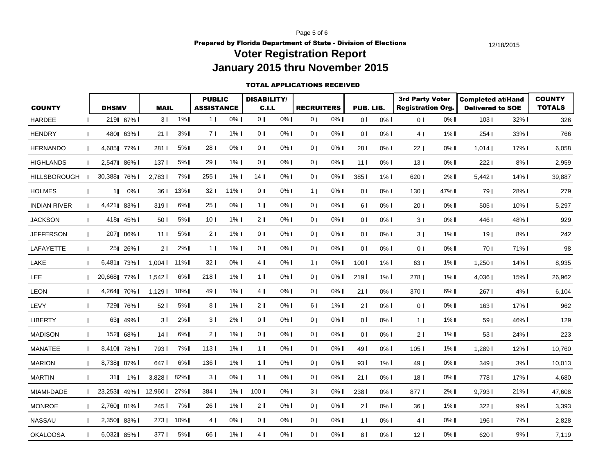Page 5 of 6

**Prepared by Florida Department of State - Division of Elections** 12/18/2015

## **Voter Registration Report January 2015 thru November 2015**

#### TOTAL APPLICATIONS RECEIVED

| <b>COUNTY</b>       |              | <b>DHSMV</b>  |              | <b>MAIL</b>                  |          | <b>PUBLIC</b><br><b>ASSISTANCE</b> |         | <b>DISABILITY/</b><br>C.I.L |       | <b>RECRUITERS</b> |       | PUB. LIB.                     |         | <b>3rd Party Voter</b><br><b>Registration Org.</b> |         | <b>Completed at/Hand</b><br><b>Delivered to SOE</b> |         | <b>COUNTY</b><br><b>TOTALS</b> |
|---------------------|--------------|---------------|--------------|------------------------------|----------|------------------------------------|---------|-----------------------------|-------|-------------------|-------|-------------------------------|---------|----------------------------------------------------|---------|-----------------------------------------------------|---------|--------------------------------|
| <b>HARDEE</b>       |              |               | 219  67%     | 3 <sup>1</sup>               | $1\%$    | 1 <sub>1</sub>                     | $0\%$   | 0 <sub>1</sub>              | $0\%$ | 0 <sub>1</sub>    | $0\%$ | $\overline{0}$ l              | $0\%$ I | 0 <sup>1</sup>                                     | $0\%$ I | 103I                                                | $32\%$  | 326                            |
| <b>HENDRY</b>       | $\mathbf{I}$ |               | 480 63%      | 21 <sup>1</sup>              | 3%1      | 71                                 | $1\%$   | 0 <sub>1</sub>              | $0\%$ | 0 <sub>1</sub>    | $0\%$ | $\overline{0}$ l              | $0\%$   | 41                                                 | $1\%$   | 2541                                                | 33% I   | 766                            |
| <b>HERNANDO</b>     | I.           |               | 4,685  77%   | 2811                         | 5%       | 28 <sub>1</sub>                    | 0%      | 0 <sub>l</sub>              | 0% I  | 0 <sub>1</sub>    | $0\%$ | 28 I                          | $0\%$   | 221                                                | $0\%$   | 1.014                                               | $17\%$  | 6,058                          |
| <b>HIGHLANDS</b>    | $\mathbf{I}$ |               | 2,5471 86% I | 137 <sup>1</sup>             | 5%       | 29 <sub>1</sub>                    | $1\%$   | 0 <sup>1</sup>              | $0\%$ | 0 <sub>1</sub>    | $0\%$ | 11 <sup>1</sup>               | $0\%$   | 13 <sub>1</sub>                                    | $0\%$   | 2221                                                | $8\%$   | 2,959                          |
| <b>HILLSBOROUGH</b> |              | 30,3881 76% I |              | 2,783                        | 7%1      | 2551                               | $1\%$   | 14 <sub>1</sub>             | $0\%$ | 0 <sub>1</sub>    | $0\%$ | 385 <sup>I</sup>              | $1\%$   | 620                                                | $2\%$   | 5,442                                               | 14%     | 39,887                         |
| <b>HOLMES</b>       | $\mathbf{I}$ |               | $110\%$      |                              | 36   13% | 32 <sub>1</sub>                    | 11%     | 0 <sub>1</sub>              | 0% I  | 1 <sub>1</sub>    | $0\%$ | $\overline{0}$ l              | $0\%$   | 130 <sub>1</sub>                                   | 47% I   | 791                                                 | 28% I   | 279                            |
| <b>INDIAN RIVER</b> |              |               | 4,421  83%   | 319 <sup>1</sup>             | $6\%$    | 25 <sub>1</sub>                    | $0\%$   | 1 <sub>1</sub>              | $0\%$ | 0 <sub>1</sub>    | $0\%$ | 61                            | $0\%$   | 20 <sub>1</sub>                                    | $0\%$   | 5051                                                | $10\%$  | 5,297                          |
| <b>JACKSON</b>      | $\mathbf{I}$ |               | 418   45%    | 50 I                         | 5%       | 10 <sub>l</sub>                    | $1\%$   | 21                          | $0\%$ | 0 <sub>1</sub>    | $0\%$ | $\overline{0}$ $\overline{1}$ | $0\%$   | 31                                                 | $0\%$   | 4461                                                | 48% I   | 929                            |
| <b>JEFFERSON</b>    | T.           |               | 2071 86% I   | 11 <sup>1</sup>              | 5%1      | 21                                 | $1\%$   | $\overline{0}$ 1            | 0% l  | 0 <sub>1</sub>    | $0\%$ | 0 <sup>1</sup>                | $0\%$   | 31                                                 | $1\%$   | 19 <sub>l</sub>                                     | $8\%$ I | 242                            |
| LAFAYETTE           | I.           |               | 25  26%      | 21                           | $2\%$    | 11                                 | $1\%$   | 0 <sub>1</sub>              | $0\%$ | 0 <sub>1</sub>    | $0\%$ | $\overline{0}$ $\overline{1}$ | $0\%$   | 0 <sup>1</sup>                                     | $0\%$   | 701                                                 | 71% I   | 98                             |
| LAKE                | п            | 6.4811        | 73% l        | $1.004$ I                    | $11\%$   | 32 <sub>1</sub>                    | $0\%$ 1 | 4 <sub>1</sub>              | $0\%$ | 1 <sub>1</sub>    | $0\%$ | 100 <sup>1</sup>              | $1\%$   | 63 I                                               | $1\%$   | 1,250                                               | 14% I   | 8,935                          |
| <b>LEE</b>          | $\mathbf{I}$ | 20,6681 77% I |              | $1,542$ I                    | $6\%$    | 2181                               | $1\%$   | 11                          | 0% l  | 0 <sub>1</sub>    | $0\%$ | 219                           | $1\%$   | 2781                                               | $1\%$   | $4,036$ $\blacksquare$                              | 15%     | 26,962                         |
| <b>LEON</b>         | $\mathbf{I}$ |               | 4,264  70%   | $1.129$ $\blacksquare$       | 18%      | 49 <sub>l</sub>                    | $1\%$   | 4 <sub>1</sub>              | $0\%$ | 0 <sub>1</sub>    | $0\%$ | 21 <sup>1</sup>               | $0\%$   | 3701                                               | $6\%$   | 2671                                                | $4\%$ I | 6,104                          |
| LEVY                | L            |               | 729  76%     | 521                          | 5%       | 81                                 | $1\%$   | 2 <sub>1</sub>              | $0\%$ | 6 I               | $1\%$ | 21                            | $0\%$   | 0 <sub>1</sub>                                     | $0\%$   | 163I                                                | $17\%$  | 962                            |
| <b>LIBERTY</b>      | T.           |               | 631 49% l    | 3 I                          | 2%1      | 31                                 | $2\%$   | 0 <sub>l</sub>              | $0\%$ | 0 <sub>1</sub>    | $0\%$ | 0 <sup>1</sup>                | $0\%$   | 11                                                 | $1\%$   | 591                                                 | 46% I   | 129                            |
| <b>MADISON</b>      | T.           |               | 152  68%     | 14 <sup>1</sup>              | 6%1      | 21                                 | $1\%$   | 0 <sub>1</sub>              | $0\%$ | 0 <sub>1</sub>    | $0\%$ | 0 I                           | $0\%$   | 21                                                 | $1\%$   | 531                                                 | 24% I   | 223                            |
| <b>MANATEE</b>      | $\mathbf{I}$ | 8,410  78%    |              | 793 I                        | 7%1      | 113 <sub>1</sub>                   | $1\%$   | 1 <sub>1</sub>              | 0% l  | 0 <sub>1</sub>    | $0\%$ | 49 I                          | $0\%$   | 105 <sub>l</sub>                                   | $1\%$   | 1,289                                               | $12\%$  | 10,760                         |
| <b>MARION</b>       | $\mathbf{I}$ | 8,738  87%    |              | 647 I                        | 6%1      | 136                                | $1\%$   | 1 <sub>1</sub>              | 0% I  | 0 <sub>1</sub>    | $0\%$ | 93I                           | $1\%$ I | 49 I                                               | $0\%$   | 3491                                                | 3%1     | 10,013                         |
| <b>MARTIN</b>       | $\mathbf{I}$ |               | 31   1%      | $3,828$ I                    | $82\%$   | 3 I                                | $0\%$   | 1 <sub>l</sub>              | $0\%$ | 0 <sub>1</sub>    | $0\%$ | 21 <sup>1</sup>               | $0\%$ I | 18 <sup>1</sup>                                    | $0\%$   | 7781                                                | 17% I   | 4,680                          |
| MIAMI-DADE          |              |               |              | 23,2531 49% 1 12,960 1 27% 1 |          | $384$                              | $1\%$   | 100 <sub>l</sub>            | $0\%$ | 3 I               | $0\%$ | 238 l                         | $0\%$   | 8771                                               | 2%1     | 9,793                                               | $21\%$  | 47,608                         |
| <b>MONROE</b>       | $\mathbf{I}$ | 2,760  81%    |              | 245 I                        | 7% l     | 26 I                               | $1\%$ I | 2 I                         | $0\%$ | 0 <sub>1</sub>    | $0\%$ | 21                            | $0\%$   | 36 I                                               | $1\%$   | 322 I                                               | 9%1     | 3,393                          |
| <b>NASSAU</b>       | $\mathbf{I}$ | 2,350  83%    |              | 273 I                        | $10\%$   | 4 I                                | $0\%$   | 0 <sub>1</sub>              | $0\%$ | 0 <sub>1</sub>    | $0\%$ | 1 <sup>1</sup>                | $0\%$ I | 41                                                 | $0\%$ I | 1961                                                | 7% I    | 2,828                          |
| <b>OKALOOSA</b>     | п            | 6,032  85%    |              | 3771                         | 5%       | 66 I                               | $1\%$ I | 4 <sub>1</sub>              | $0\%$ | 0 <sub>1</sub>    | $0\%$ | 8 <sub>1</sub>                | $0\%$   | 12 <sub>l</sub>                                    | $0\%$   | 6201                                                | 9%1     | 7,119                          |